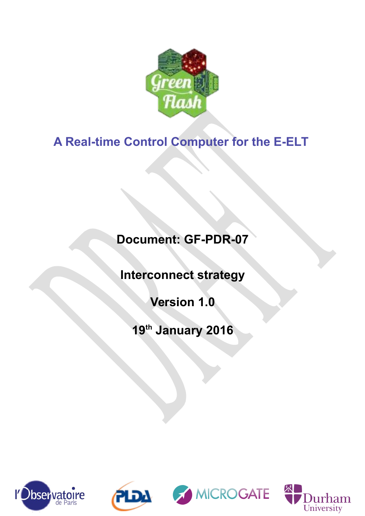

# **A Real-time Control Computer for the E-ELT**

# **Document: GF-PDR-07**

**Interconnect strategy**

**Version 1.0**

**19th January 2016**







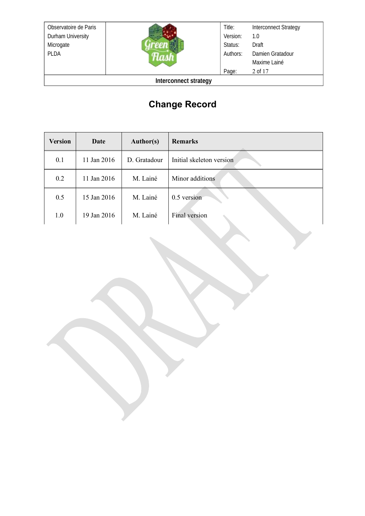Observatoire de Paris Durham University Microgate PLDA



Title: Version: Status: Authors: Page: Interconnect Strategy 1.0 Draft Damien Gratadour Maxime Lainé 2 of 17

**Interconnect strategy**

# **Change Record**

| <b>Version</b> | Date        | <b>Author(s)</b> | <b>Remarks</b>           |
|----------------|-------------|------------------|--------------------------|
| 0.1            | 11 Jan 2016 | D. Gratadour     | Initial skeleton version |
| 0.2            | 11 Jan 2016 | M. Lainé         | Minor additions          |
| 0.5            | 15 Jan 2016 | M. Lainé         | 0.5 version              |
| 1.0            | 19 Jan 2016 | M. Lainé         | Final version            |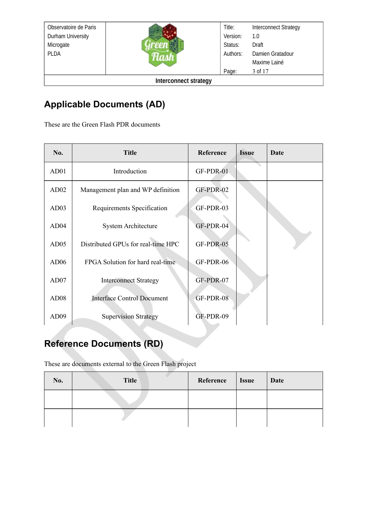Observatoire de Paris Durham University Microgate PLDA



**Interconnect strategy**

# **Applicable Documents (AD)**

These are the Green Flash PDR documents

| No.              | <b>Title</b>                       | Reference | <b>Issue</b> | Date |
|------------------|------------------------------------|-----------|--------------|------|
| AD01             | Introduction                       | GF-PDR-01 |              |      |
| AD02             | Management plan and WP definition  | GF-PDR-02 |              |      |
| AD03             | Requirements Specification         | GF-PDR-03 |              |      |
| AD <sub>04</sub> | <b>System Architecture</b>         | GF-PDR-04 |              |      |
| AD05             | Distributed GPUs for real-time HPC | GF-PDR-05 |              |      |
| AD06             | FPGA Solution for hard real-time   | GF-PDR-06 |              |      |
| AD07             | <b>Interconnect Strategy</b>       | GF-PDR-07 |              |      |
| AD <sub>08</sub> | <b>Interface Control Document</b>  | GF-PDR-08 |              |      |
| AD <sub>09</sub> | <b>Supervision Strategy</b>        | GF-PDR-09 |              |      |

# **Reference Documents (RD)**

These are documents external to the Green Flash project

| No. | <b>Title</b> | <b>Reference</b> | <b>Issue</b> | Date |
|-----|--------------|------------------|--------------|------|
|     |              |                  |              |      |
|     |              |                  |              |      |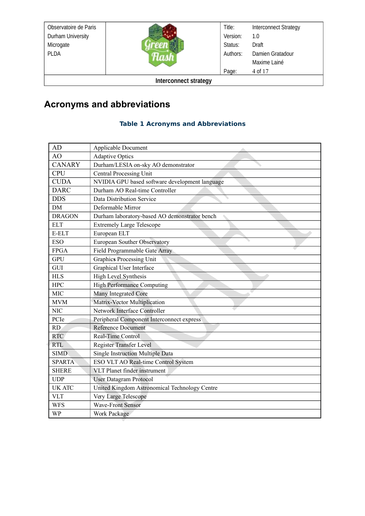| Observatoire de Paris |  | Title:   | <b>Interconnect Strategy</b> |
|-----------------------|--|----------|------------------------------|
| Durham University     |  | Version: | 1.0                          |
| Microgate             |  | Status:  | Draft                        |
| <b>PLDA</b>           |  | Authors: | Damien Gratadour             |
|                       |  |          | Maxime Lainé                 |
|                       |  | Page:    | 4 of 17                      |
| Interconnect strategy |  |          |                              |

# **Acronyms and abbreviations**

#### **Table 1 Acronyms and Abbreviations**

| AD            | <b>Applicable Document</b>                     |
|---------------|------------------------------------------------|
| AO            | <b>Adaptive Optics</b>                         |
| <b>CANARY</b> | Durham/LESIA on-sky AO demonstrator            |
| <b>CPU</b>    | <b>Central Processing Unit</b>                 |
| <b>CUDA</b>   | NVIDIA GPU based software development language |
| <b>DARC</b>   | Durham AO Real-time Controller                 |
| <b>DDS</b>    | Data Distribution Service                      |
| <b>DM</b>     | Deformable Mirror                              |
| <b>DRAGON</b> | Durham laboratory-based AO demonstrator bench  |
| <b>ELT</b>    | <b>Extremely Large Telescope</b>               |
| E-ELT         | European ELT                                   |
| <b>ESO</b>    | European Souther Observatory                   |
| <b>FPGA</b>   | Field Programmable Gate Array                  |
| <b>GPU</b>    | Graphics Processing Unit                       |
| GUI           | Graphical User Interface                       |
| <b>HLS</b>    | <b>High Level Synthesis</b>                    |
| <b>HPC</b>    | <b>High Performance Computing</b>              |
| <b>MIC</b>    | Many Integrated Core                           |
| <b>MVM</b>    | Matrix-Vector Multiplication                   |
| <b>NIC</b>    | Network Interface Controller                   |
| PCIe          | Peripheral Component Interconnect express      |
| RD            | Reference Document                             |
| <b>RTC</b>    | Real-Time Control                              |
| <b>RTL</b>    | Register Transfer Level                        |
| <b>SIMD</b>   | Single Instruction Multiple Data               |
| <b>SPARTA</b> | ESO VLT AO Real-time Control System            |
| <b>SHERE</b>  | VLT Planet finder instrument                   |
| <b>UDP</b>    | <b>User Datagram Protocol</b>                  |
| <b>UK ATC</b> | United Kingdom Astronomical Technology Centre  |
| <b>VLT</b>    | Very Large Telescope                           |
| <b>WFS</b>    | <b>Wave-Front Sensor</b>                       |
| <b>WP</b>     | <b>Work Package</b>                            |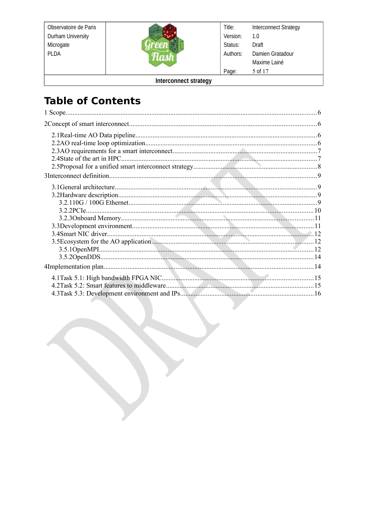Observatoire de Paris Durham University Microgate **PLDA** 



**Interconnect Strategy** Title: Version:  $1.0\,$ Status: Draft Authors: Damien Gratadour Maxime Lainé Page: 5 of 17

Interconnect strategy

# **Table of Contents**

| 4.3Task 5.3: Development environment and IPs. |  |
|-----------------------------------------------|--|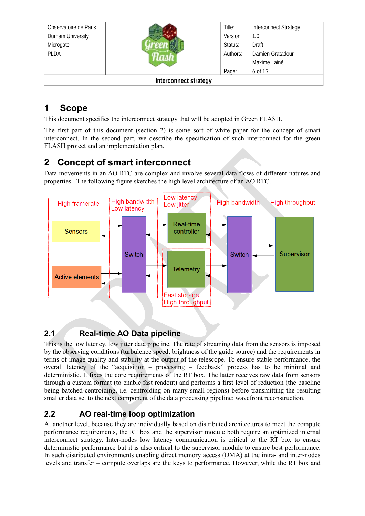| Observatoire de Paris |  | Title:   | <b>Interconnect Strategy</b> |
|-----------------------|--|----------|------------------------------|
| Durham University     |  | Version: | 1.0                          |
| Microgate             |  | Status:  | Draft                        |
| <b>PLDA</b>           |  | Authors: | Damien Gratadour             |
|                       |  |          | Maxime Lainé                 |
|                       |  | Page:    | 6 of 17                      |
| Interconnect strategy |  |          |                              |

# <span id="page-5-3"></span>**1 Scope**

This document specifies the interconnect strategy that will be adopted in Green FLASH.

The first part of this document (section 2) is some sort of white paper for the concept of smart interconnect. In the second part, we describe the specification of such interconnect for the green FLASH project and an implementation plan.

# <span id="page-5-2"></span>**2 Concept of smart interconnect**

Data movements in an AO RTC are complex and involve several data flows of different natures and properties. The following figure sketches the high level architecture of an AO RTC.



### <span id="page-5-1"></span>**2.1 Real-time AO Data pipeline**

This is the low latency, low jitter data pipeline. The rate of streaming data from the sensors is imposed by the observing conditions (turbulence speed, brightness of the guide source) and the requirements in terms of image quality and stability at the output of the telescope. To ensure stable performance, the overall latency of the "acquisition – processing – feedback" process has to be minimal and deterministic. It fixes the core requirements of the RT box. The latter receives raw data from sensors through a custom format (to enable fast readout) and performs a first level of reduction (the baseline being batched-centroiding, i.e. centroiding on many small regions) before transmitting the resulting smaller data set to the next component of the data processing pipeline: wavefront reconstruction.

### <span id="page-5-0"></span>**2.2 AO real-time loop optimization**

At another level, because they are individually based on distributed architectures to meet the compute performance requirements, the RT box and the supervisor module both require an optimized internal interconnect strategy. Inter-nodes low latency communication is critical to the RT box to ensure deterministic performance but it is also critical to the supervisor module to ensure best performance. In such distributed environments enabling direct memory access (DMA) at the intra- and inter-nodes levels and transfer – compute overlaps are the keys to performance. However, while the RT box and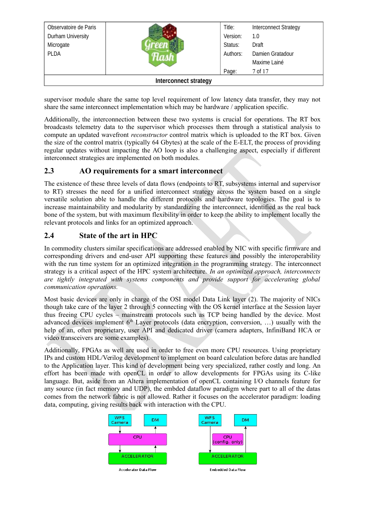| Observatoire de Paris        |  | Title:   | <b>Interconnect Strategy</b> |
|------------------------------|--|----------|------------------------------|
| Durham University            |  | Version: | 1.0                          |
| Microgate                    |  | Status:  | Draft                        |
| <b>PLDA</b>                  |  | Authors: | Damien Gratadour             |
|                              |  |          | Maxime Lainé                 |
|                              |  | Page:    | 7 of 17                      |
| <b>Interconnect strategy</b> |  |          |                              |

supervisor module share the same top level requirement of low latency data transfer, they may not share the same interconnect implementation which may be hardware / application specific.

Additionally, the interconnection between these two systems is crucial for operations. The RT box broadcasts telemetry data to the supervisor which processes them through a statistical analysis to compute an updated wavefront *reconstructor* control matrix which is uploaded to the RT box. Given the size of the control matrix (typically 64 Gbytes) at the scale of the E-ELT, the process of providing regular updates without impacting the AO loop is also a challenging aspect, especially if different interconnect strategies are implemented on both modules.

#### <span id="page-6-1"></span>**2.3 AO requirements for a smart interconnect**

The existence of these three levels of data flows (endpoints to RT, subsystems internal and supervisor to RT) stresses the need for a unified interconnect strategy across the system based on a single versatile solution able to handle the different protocols and hardware topologies. The goal is to increase maintainability and modularity by standardizing the interconnect, identified as the real back bone of the system, but with maximum flexibility in order to keep the ability to implement locally the relevant protocols and links for an optimized approach.

#### <span id="page-6-0"></span>**2.4 State of the art in HPC**

In commodity clusters similar specifications are addressed enabled by NIC with specific firmware and corresponding drivers and end-user API supporting these features and possibly the interoperability with the run time system for an optimized integration in the programming strategy. The interconnect strategy is a critical aspect of the HPC system architecture. *In an optimized approach, interconnects are tightly integrated with systems components and provide support for accelerating global communication operations.* 

Most basic devices are only in charge of the OSI model Data Link layer (2). The majority of NICs though take care of the layer 2 through 5 connecting with the OS kernel interface at the Session layer thus freeing CPU cycles – mainstream protocols such as TCP being handled by the device. Most advanced devices implement  $6<sup>th</sup>$  Layer protocols (data encryption, conversion, ...) usually with the help of an, often proprietary, user API and dedicated driver (camera adapters, InfiniBand HCA or video transceivers are some examples).

Additionally, FPGAs as well are used in order to free even more CPU resources. Using proprietary IPs and custom HDL/Verilog development to implement on board calculation before datas are handled to the Application layer. This kind of development being very specialized, rather costly and long. An effort has been made with openCL in order to allow developments for FPGAs using its C-like language. But, aside from an Altera implementation of openCL containing I/O channels feature for any source (in fact memory and UDP), the embded dataflow paradigm where part to all of the datas comes from the network fabric is not allowed. Rather it focuses on the accelerator paradigm: loading data, computing, giving results back with interaction with the CPU.

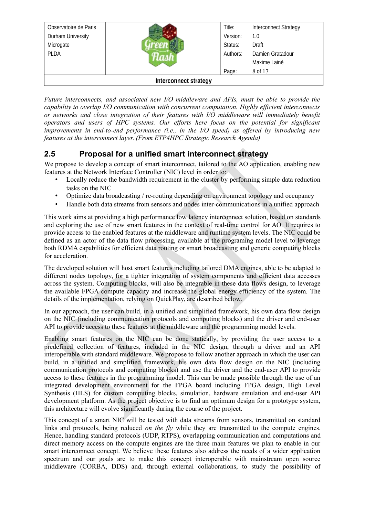| Observatoire de Paris        |  | Title:   | <b>Interconnect Strategy</b> |
|------------------------------|--|----------|------------------------------|
| Durham University            |  | Version: | 1.0                          |
| Microgate                    |  | Status:  | Draft                        |
| <b>PLDA</b>                  |  | Authors: | Damien Gratadour             |
|                              |  |          | Maxime Lainé                 |
|                              |  | Page:    | 8 of 17                      |
| <b>Interconnect strategy</b> |  |          |                              |

*Future interconnects, and associated new I/O middleware and APIs, must be able to provide the capability to overlap I/O communication with concurrent computation. Highly efficient interconnects or networks and close integration of their features with I/O middleware will immediately benefit operators and users of HPC systems. Our efforts here focus on the potential for significant improvements in end-to-end performance (i.e., in the I/O speed) as offered by introducing new features at the interconnect layer. (From ETP4HPC Strategic Research Agenda)*

#### <span id="page-7-0"></span>**2.5 Proposal for a unified smart interconnect strategy**

We propose to develop a concept of smart interconnect, tailored to the AO application, enabling new features at the Network Interface Controller (NIC) level in order to:

- Locally reduce the bandwidth requirement in the cluster by performing simple data reduction tasks on the NIC
- Optimize data broadcasting / re-routing depending on environment topology and occupancy
- Handle both data streams from sensors and nodes inter-communications in a unified approach

This work aims at providing a high performance low latency interconnect solution, based on standards and exploring the use of new smart features in the context of real-time control for AO. It requires to provide access to the enabled features at the middleware and runtime system levels. The NIC could be defined as an actor of the data flow processing, available at the programing model level to leverage both RDMA capabilities for efficient data routing or smart broadcasting and generic computing blocks for acceleration.

The developed solution will host smart features including tailored DMA engines, able to be adapted to different nodes topology, for a tighter integration of system components and efficient data accesses across the system. Computing blocks, will also be integrable in these data flows design, to leverage the available FPGA compute capacity and increase the global energy efficiency of the system. The details of the implementation, relying on QuickPlay, are described below.

In our approach, the user can build, in a unified and simplified framework, his own data flow design on the NIC (including communication protocols and computing blocks) and the driver and end-user API to provide access to these features at the middleware and the programming model levels.

Enabling smart features on the NIC can be done statically, by providing the user access to a predefined collection of features, included in the NIC design, through a driver and an API interoperable with standard middleware. We propose to follow another approach in which the user can build, in a unified and simplified framework, his own data flow design on the NIC (including communication protocols and computing blocks) and use the driver and the end-user API to provide access to these features in the programming model. This can be made possible through the use of an integrated development environment for the FPGA board including FPGA design, High Level Synthesis (HLS) for custom computing blocks, simulation, hardware emulation and end-user API development platform. As the project objective is to find an optimum design for a prototype system, this architecture will evolve significantly during the course of the project.

This concept of a smart NIC will be tested with data streams from sensors, transmitted on standard links and protocols, being reduced *on the fly* while they are transmitted to the compute engines. Hence, handling standard protocols (UDP, RTPS), overlapping communication and computations and direct memory access on the compute engines are the three main features we plan to enable in our smart interconnect concept. We believe these features also address the needs of a wider application spectrum and our goals are to make this concept interoperable with mainstream open source middleware (CORBA, DDS) and, through external collaborations, to study the possibility of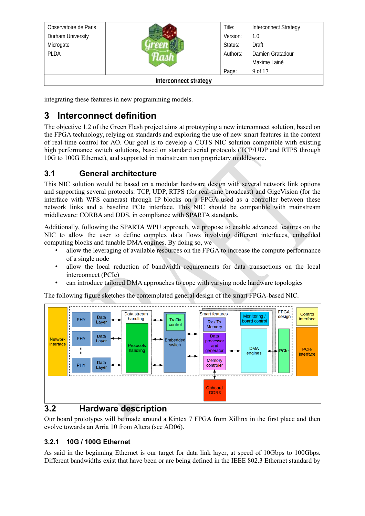| Observatoire de Paris        |  | Title:   | <b>Interconnect Strategy</b> |
|------------------------------|--|----------|------------------------------|
| Durham University            |  | Version: | 1.0                          |
| Microgate                    |  | Status:  | Draft                        |
| <b>PLDA</b>                  |  | Authors: | Damien Gratadour             |
|                              |  |          | Maxime Lainé                 |
|                              |  | Page:    | 9 of 17                      |
| <b>Interconnect strategy</b> |  |          |                              |

integrating these features in new programming models.

# <span id="page-8-3"></span>**3 Interconnect definition**

The objective 1.2 of the Green Flash project aims at prototyping a new interconnect solution, based on the FPGA technology, relying on standards and exploring the use of new smart features in the context of real-time control for AO. Our goal is to develop a COTS NIC solution compatible with existing high performance switch solutions, based on standard serial protocols (TCP/UDP and RTPS through 10G to 100G Ethernet), and supported in mainstream non proprietary middleware**.** 

#### <span id="page-8-2"></span>**3.1 General architecture**

This NIC solution would be based on a modular hardware design with several network link options and supporting several protocols: TCP, UDP, RTPS (for real-time broadcast) and GigeVision (for the interface with WFS cameras) through IP blocks on a FPGA used as a controller between these network links and a baseline PCIe interface. This NIC should be compatible with mainstream middleware: CORBA and DDS, in compliance with SPARTA standards.

Additionally, following the SPARTA WPU approach, we propose to enable advanced features on the NIC to allow the user to define complex data flows involving different interfaces, embedded computing blocks and tunable DMA engines. By doing so, we

- allow the leveraging of available resources on the FPGA to increase the compute performance of a single node
- allow the local reduction of bandwidth requirements for data transactions on the local interconnect (PCIe)
- can introduce tailored DMA approaches to cope with varying node hardware topologies

The following figure sketches the contemplated general design of the smart FPGA-based NIC.



### <span id="page-8-1"></span>**3.2 Hardware description**

Our board prototypes will be made around a Kintex 7 FPGA from Xillinx in the first place and then evolve towards an Arria 10 from Altera (see AD06).

#### <span id="page-8-0"></span>**3.2.1 10G / 100G Ethernet**

As said in the beginning Ethernet is our target for data link layer, at speed of 10Gbps to 100Gbps. Different bandwidths exist that have been or are being defined in the IEEE 802.3 Ethernet standard by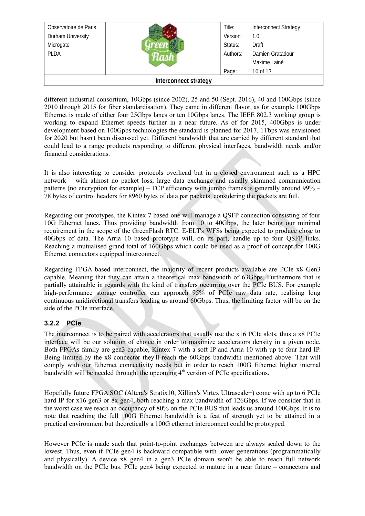| Observatoire de Paris        |  | Title:   | <b>Interconnect Strategy</b> |
|------------------------------|--|----------|------------------------------|
| Durham University            |  | Version: | 1.0                          |
| Microgate                    |  | Status:  | Draft                        |
| <b>PLDA</b>                  |  | Authors: | Damien Gratadour             |
|                              |  |          | Maxime Lainé                 |
|                              |  | Page:    | 10 of 17                     |
| <b>Interconnect strategy</b> |  |          |                              |

different industrial consortium, 10Gbps (since 2002), 25 and 50 (Sept. 2016), 40 and 100Gbps (since 2010 through 2015 for fiber standardisation). They came in different flavor, as for example 100Gbps Ethernet is made of either four 25Gbps lanes or ten 10Gbps lanes. The IEEE 802.3 working group is working to expand Ethernet speeds further in a near future. As of for 2015, 400Gbps is under development based on 100Gpbs technologies the standard is planned for 2017. 1Tbps was envisioned for 2020 but hasn't been discussed yet. Different bandwidth that are carried by different standard that could lead to a range products responding to different physical interfaces, bandwidth needs and/or financial considerations.

It is also interesting to consider protocols overhead but in a closed environment such as a HPC network – with almost no packet loss, large data exchange and usually skimmed communication patterns (no encryption for example) – TCP efficiency with jumbo frames is generally around 99% – 78 bytes of control headers for 8960 bytes of data par packets, considering the packets are full.

Regarding our prototypes, the Kintex 7 based one will manage a QSFP connection consisting of four 10G Ethernet lanes. Thus providing bandwidth from 10 to 40Gbps, the later being our minimal requirement in the scope of the GreenFlash RTC. E-ELT's WFSs being expected to produce close to 40Gbps of data. The Arria 10 based prototype will, on its part, handle up to four QSFP links. Reaching a mutualised grand total of 160Gbps which could be used as a proof of concept for 100G Ethernet connectors equipped interconnect.

Regarding FPGA based interconnect, the majority of recent products available are PCIe x8 Gen3 capable. Meaning that they can attain a theoretical max bandwidth of 63Gbps. Furthermore that is partially attainable in regards with the kind of transfers occurring over the PCIe BUS. For example high-performance storage controller can approach 95% of PCIe raw data rate, realising long continuous unidirectional transfers leading us around 60Gbps. Thus, the limiting factor will be on the side of the PCIe interface.

#### <span id="page-9-0"></span>**3.2.2 PCIe**

The interconnect is to be paired with accelerators that usually use the x16 PCIe slots, thus a x8 PCIe interface will be our solution of choice in order to maximize accelerators density in a given node. Both FPGAs family are gen3 capable, Kintex 7 with a soft IP and Arria 10 with up to four hard IP. Being limited by the x8 connector they'll reach the 60Gbps bandwidth mentioned above. That will comply with our Ethernet connectivity needs but in order to reach 100G Ethernet higher internal bandwidth will be needed throught the upcoming  $4<sup>th</sup>$  version of PCIe specifications.

Hopefully future FPGA SOC (Altera's Stratix10, Xillinx's Virtex Ultrascale+) come with up to 6 PCIe hard IP for x16 gen3 or 8x gen4, both reaching a max bandwidth of 126Gbps. If we consider that in the worst case we reach an occupancy of 80% on the PCIe BUS that leads us around 100Gbps. It is to note that reaching the full 100G Ethernet bandwidth is a feat of strength yet to be attained in a practical environment but theoretically a 100G ethernet interconnect could be prototyped.

However PCIe is made such that point-to-point exchanges between are always scaled down to the lowest. Thus, even if PCIe gen4 is backward compatible with lower generations (programmatically and physically). A device x8 gen4 in a gen3 PCIe domain won't be able to reach full network bandwidth on the PCIe bus. PCIe gen4 being expected to mature in a near future – connectors and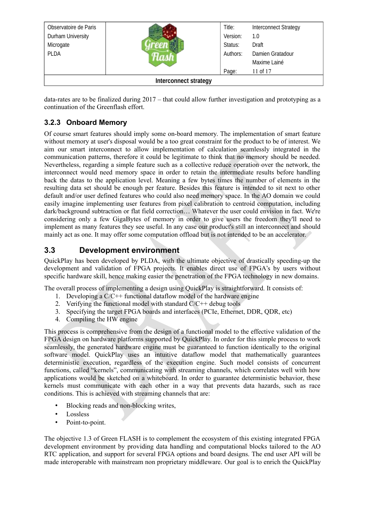| Observatoire de Paris        |  | Title:   | <b>Interconnect Strategy</b> |
|------------------------------|--|----------|------------------------------|
| Durham University            |  | Version: | 1.0                          |
| Microgate                    |  | Status:  | Draft                        |
| <b>PLDA</b>                  |  | Authors: | Damien Gratadour             |
|                              |  |          | Maxime Lainé                 |
|                              |  | Page:    | 11 of 17                     |
| <b>Interconnect strategy</b> |  |          |                              |

data-rates are to be finalized during 2017 – that could allow further investigation and prototyping as a continuation of the Greenflash effort.

#### <span id="page-10-1"></span>**3.2.3 Onboard Memory**

Of course smart features should imply some on-board memory. The implementation of smart feature without memory at user's disposal would be a too great constraint for the product to be of interest. We aim our smart interconnect to allow implementation of calculation seamlessly integrated in the communication patterns, therefore it could be legitimate to think that no memory should be needed. Nevertheless, regarding a simple feature such as a collective reduce operation over the network, the interconnect would need memory space in order to retain the intermediate results before handling back the datas to the application level. Meaning a few bytes times the number of elements in the resulting data set should be enough per feature. Besides this feature is intended to sit next to other default and/or user defined features who could also need memory space. In the AO domain we could easily imagine implementing user features from pixel calibration to centroid computation, including dark/background subtraction or flat field correction… Whatever the user could envision in fact. We're considering only a few GigaBytes of memory in order to give users the freedom they'll need to implement as many features they see useful. In any case our product's still an interconnect and should mainly act as one. It may offer some computation offload but is not intended to be an accelerator.

#### <span id="page-10-0"></span>**3.3 Development environment**

QuickPlay has been developed by PLDA, with the ultimate objective of drastically speeding-up the development and validation of FPGA projects. It enables direct use of FPGA's by users without specific hardware skill, hence making easier the penetration of the FPGA technology in new domains.

The overall process of implementing a design using QuickPlay is straightforward. It consists of:

- 1. Developing a  $C/C++$  functional dataflow model of the hardware engine
- 2. Verifying the functional model with standard C/C++ debug tools
- 3. Specifying the target FPGA boards and interfaces (PCIe, Ethernet, DDR, QDR, etc)
- 4. Compiling the HW engine

This process is comprehensive from the design of a functional model to the effective validation of the FPGA design on hardware platforms supported by QuickPlay. In order for this simple process to work seamlessly, the generated hardware engine must be guaranteed to function identically to the original software model. QuickPlay uses an intuitive dataflow model that mathematically guarantees deterministic execution, regardless of the execution engine. Such model consists of concurrent functions, called "kernels", communicating with streaming channels, which correlates well with how applications would be sketched on a whiteboard. In order to guarantee deterministic behavior, these kernels must communicate with each other in a way that prevents data hazards, such as race conditions. This is achieved with streaming channels that are:

- Blocking reads and non-blocking writes,
- Lossless
- Point-to-point.

The objective 1.3 of Green FLASH is to complement the ecosystem of this existing integrated FPGA development environment by providing data handling and computational blocks tailored to the AO RTC application, and support for several FPGA options and board designs. The end user API will be made interoperable with mainstream non proprietary middleware. Our goal is to enrich the QuickPlay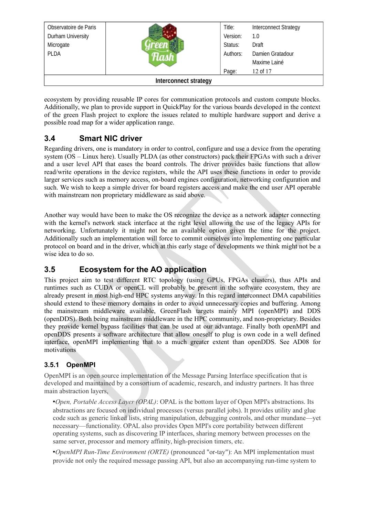| Observatoire de Paris |                              | Title:   | <b>Interconnect Strategy</b> |
|-----------------------|------------------------------|----------|------------------------------|
| Durham University     |                              | Version: | 1.0                          |
| Microgate             |                              | Status:  | Draft                        |
| <b>PLDA</b>           |                              | Authors: | Damien Gratadour             |
|                       |                              |          | Maxime Lainé                 |
|                       |                              | Page:    | 12 of 17                     |
|                       | <b>Interconnect strategy</b> |          |                              |

ecosystem by providing reusable IP cores for communication protocols and custom compute blocks. Additionally, we plan to provide support in QuickPlay for the various boards developed in the context of the green Flash project to explore the issues related to multiple hardware support and derive a possible road map for a wider application range.

#### <span id="page-11-2"></span>**3.4 Smart NIC driver**

Regarding drivers, one is mandatory in order to control, configure and use a device from the operating system (OS – Linux here). Usually PLDA (as other constructors) pack their FPGAs with such a driver and a user level API that eases the board controls. The driver provides basic functions that allow read/write operations in the device registers, while the API uses these functions in order to provide larger services such as memory access, on-board engines configuration, networking configuration and such. We wish to keep a simple driver for board registers access and make the end user API operable with mainstream non proprietary middleware as said above.

Another way would have been to make the OS recognize the device as a network adapter connecting with the kernel's network stack interface at the right level allowing the use of the legacy APIs for networking. Unfortunately it might not be an available option given the time for the project. Additionally such an implementation will force to commit ourselves into implementing one particular protocol on board and in the driver, which at this early stage of developments we think might not be a wise idea to do so.

#### <span id="page-11-1"></span>**3.5 Ecosystem for the AO application**

This project aim to test different RTC topology (using GPUs, FPGAs clusters), thus APIs and runtimes such as CUDA or openCL will probably be present in the software ecosystem, they are already present in most high-end HPC systems anyway. In this regard interconnect DMA capabilities should extend to these memory domains in order to avoid unnecessary copies and buffering. Among the mainstream middleware available, GreenFlash targets mainly MPI (openMPI) and DDS (openDDS). Both being mainstream middleware in the HPC community, and non-proprietary. Besides they provide kernel bypass facilities that can be used at our advantage. Finally both openMPI and openDDS presents a software architecture that allow oneself to plug is own code in a well defined interface, openMPI implementing that to a much greater extent than openDDS. See AD08 for motivations

#### <span id="page-11-0"></span>**3.5.1 OpenMPI**

OpenMPI is an open source implementation of the Message Parsing Interface specification that is developed and maintained by a consortium of academic, research, and industry partners. It has three main abstraction layers,

•*Open, Portable Access Layer (OPAL)*: OPAL is the bottom layer of Open MPI's abstractions. Its abstractions are focused on individual processes (versus parallel jobs). It provides utility and glue code such as generic linked lists, string manipulation, debugging controls, and other mundane—yet necessary—functionality. OPAL also provides Open MPI's core portability between different operating systems, such as discovering IP interfaces, sharing memory between processes on the same server, processor and memory affinity, high-precision timers, etc.

•*OpenMPI Run-Time Environment (ORTE)* (pronounced "or-tay"): An MPI implementation must provide not only the required message passing API, but also an accompanying run-time system to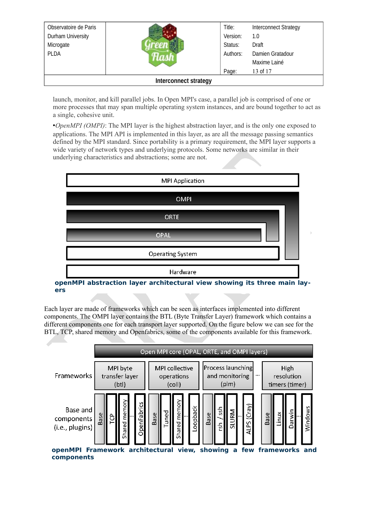| Observatoire de Paris |                       | Title:   | <b>Interconnect Strategy</b> |
|-----------------------|-----------------------|----------|------------------------------|
| Durham University     |                       | Version: | 1.0                          |
| Microgate             |                       | Status:  | Draft                        |
| <b>PLDA</b>           |                       | Authors: | Damien Gratadour             |
|                       |                       |          | Maxime Lainé                 |
|                       |                       | Page:    | 13 of 17                     |
|                       | Interconnect strategy |          |                              |

launch, monitor, and kill parallel jobs. In Open MPI's case, a parallel job is comprised of one or more processes that may span multiple operating system instances, and are bound together to act as a single, cohesive unit.

•*OpenMPI (OMPI)*: The MPI layer is the highest abstraction layer, and is the only one exposed to applications. The MPI API is implemented in this layer, as are all the message passing semantics defined by the MPI standard. Since portability is a primary requirement, the MPI layer supports a wide variety of network types and underlying protocols. Some networks are similar in their underlying characteristics and abstractions; some are not.



**openMPI abstraction layer architectural view showing its three main layers** 

Each layer are made of frameworks which can be seen as interfaces implemented into different components. The OMPI layer contains the BTL (Byte Transfer Layer) framework which contains a different components one for each transport layer supported. On the figure below we can see for the BTL, TCP, shared memory and Openfabrics, some of the components available for this framework.

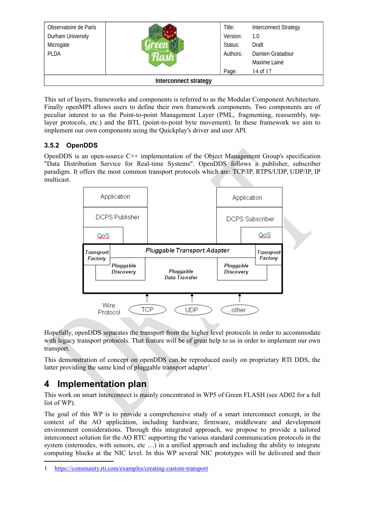| Observatoire de Paris |                              | Title:   | <b>Interconnect Strategy</b> |
|-----------------------|------------------------------|----------|------------------------------|
| Durham University     |                              | Version: | 1.0                          |
| Microgate             |                              | Status:  | Draft                        |
| <b>PLDA</b>           |                              | Authors: | Damien Gratadour             |
|                       |                              |          | Maxime Lainé                 |
|                       |                              | Page:    | 14 of 17                     |
|                       | <b>Interconnect strategy</b> |          |                              |

This set of layers, frameworks and components is referred to as the Modular Component Architecture. Finally openMPI allows users to define their own framework components. Two components are of peculiar interest to us the Point-to-point Management Layer (PML, fragmenting, reassembly, toplayer protocols, etc.) and the BTL (point-to-point byte movement). In these framework we aim to implement our own components using the Quickplay's driver and user API.

#### <span id="page-13-1"></span>**3.5.2 OpenDDS**

OpenDDS is an open-source C++ implementation of the Object Management Group's specification "Data Distribution Service for Real-time Systems". OpenDDS follows a publisher, subscriber paradigm. It offers the most common transport protocols which are: TCP/IP, RTPS/UDP, UDP/IP, IP multicast.



Hopefully, openDDS separates the transport from the higher level protocols in order to accommodate with legacy transport protocols. That feature will be of great help to us in order to implement our own transport.

This demonstration of concept on openDDS can be reproduced easily on proprietary RTI DDS, the latter providing the same kind of pluggable transport adapter<sup>[1](#page-13-2)</sup>.

## <span id="page-13-0"></span>**4 Implementation plan**

This work on smart interconnect is mainly concentrated in WP5 of Green FLASH (see AD02 for a full list of WP).

The goal of this WP is to provide a comprehensive study of a smart interconnect concept, in the context of the AO application, including hardware, firmware, middleware and development environment considerations. Through this integrated approach, we propose to provide a tailored interconnect solution for the AO RTC supporting the various standard communication protocols in the system (internodes, with sensors, etc ...) in a unified approach and including the ability to integrate computing blocks at the NIC level. In this WP several NIC prototypes will be delivered and their

<span id="page-13-2"></span><sup>1</sup> <https://community.rti.com/examples/creating-custom-transport>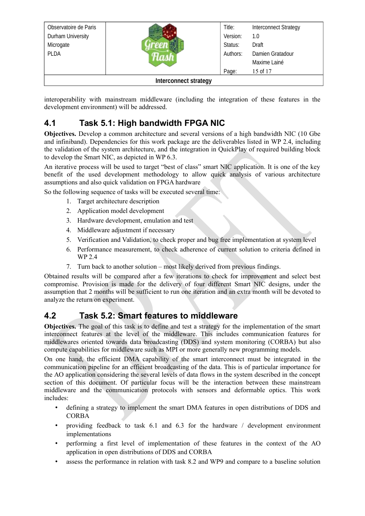| Observatoire de Paris |                              | Title:   | <b>Interconnect Strategy</b> |
|-----------------------|------------------------------|----------|------------------------------|
| Durham University     |                              | Version: | 1.0                          |
| Microgate             |                              | Status:  | Draft                        |
| <b>PLDA</b>           |                              | Authors: | Damien Gratadour             |
|                       |                              |          | Maxime Lainé                 |
|                       |                              | Page:    | 15 of 17                     |
|                       | <b>Interconnect strategy</b> |          |                              |

interoperability with mainstream middleware (including the integration of these features in the development environment) will be addressed.

## <span id="page-14-1"></span>**4.1 Task 5.1: High bandwidth FPGA NIC**

**Objectives.** Develop a common architecture and several versions of a high bandwidth NIC (10 Gbe and infiniband). Dependencies for this work package are the deliverables listed in WP 2.4, including the validation of the system architecture, and the integration in QuickPlay of required building block to develop the Smart NIC, as depicted in WP 6.3.

An iterative process will be used to target "best of class" smart NIC application. It is one of the key benefit of the used development methodology to allow quick analysis of various architecture assumptions and also quick validation on FPGA hardware

So the following sequence of tasks will be executed several time:

- 1. Target architecture description
- 2. Application model development
- 3. Hardware development, emulation and test
- 4. Middleware adjustment if necessary
- 5. Verification and Validation, to check proper and bug free implementation at system level
- 6. Performance measurement, to check adherence of current solution to criteria defined in WP 2.4
- 7. Turn back to another solution most likely derived from previous findings.

Obtained results will be compared after a few iterations to check for improvement and select best compromise. Provision is made for the delivery of four different Smart NIC designs, under the assumption that 2 months will be sufficient to run one iteration and an extra month will be devoted to analyze the return on experiment.

#### <span id="page-14-0"></span>**4.2 Task 5.2: Smart features to middleware**

**Objectives.** The goal of this task is to define and test a strategy for the implementation of the smart interconnect features at the level of the middleware. This includes communication features for middlewares oriented towards data broadcasting (DDS) and system monitoring (CORBA) but also compute capabilities for middleware such as MPI or more generally new programming models.

On one hand, the efficient DMA capability of the smart interconnect must be integrated in the communication pipeline for an efficient broadcasting of the data. This is of particular importance for the AO application considering the several levels of data flows in the system described in the concept section of this document. Of particular focus will be the interaction between these mainstream middleware and the communication protocols with sensors and deformable optics. This work includes:

- defining a strategy to implement the smart DMA features in open distributions of DDS and CORBA
- providing feedback to task 6.1 and 6.3 for the hardware / development environment implementations
- performing a first level of implementation of these features in the context of the AO application in open distributions of DDS and CORBA
- assess the performance in relation with task 8.2 and WP9 and compare to a baseline solution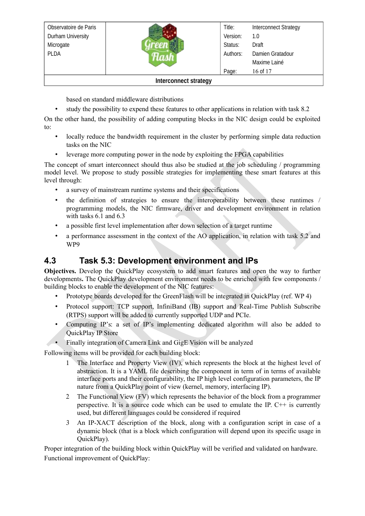| Observatoire de Paris |                              | Title:   | <b>Interconnect Strategy</b> |
|-----------------------|------------------------------|----------|------------------------------|
| Durham University     |                              | Version: | 1.0                          |
| Microgate             |                              | Status:  | Draft                        |
| <b>PLDA</b>           |                              | Authors: | Damien Gratadour             |
|                       |                              |          | Maxime Lainé                 |
|                       |                              | Page:    | 16 of 17                     |
|                       | <b>Interconnect strategy</b> |          |                              |

based on standard middleware distributions

• study the possibility to expend these features to other applications in relation with task 8.2

On the other hand, the possibility of adding computing blocks in the NIC design could be exploited to:

- locally reduce the bandwidth requirement in the cluster by performing simple data reduction tasks on the NIC
- leverage more computing power in the node by exploiting the FPGA capabilities

The concept of smart interconnect should thus also be studied at the job scheduling / programming model level. We propose to study possible strategies for implementing these smart features at this level through:

- a survey of mainstream runtime systems and their specifications
- the definition of strategies to ensure the interoperability between these runtimes / programming models, the NIC firmware, driver and development environment in relation with tasks 6.1 and 6.3
- a possible first level implementation after down selection of a target runtime
- <span id="page-15-0"></span>• a performance assessment in the context of the AO application, in relation with task 5.2 and WP9

### **4.3 Task 5.3: Development environment and IPs**

**Objectives.** Develop the QuickPlay ecosystem to add smart features and open the way to further developments**.** The QuickPlay development environment needs to be enriched with few components / building blocks to enable the development of the NIC features:

- Prototype boards developed for the GreenFlash will be integrated in QuickPlay (ref. WP 4)
- Protocol support: TCP support, InfiniBand (IB) support and Real-Time Publish Subscribe (RTPS) support will be added to currently supported UDP and PCIe.
- Computing IP's: a set of IP's implementing dedicated algorithm will also be added to QuickPlay IP Store
- Finally integration of Camera Link and GigE Vision will be analyzed

Following items will be provided for each building block:

- The Interface and Property View (IV), which represents the block at the highest level of abstraction. It is a YAML file describing the component in term of in terms of available interface ports and their configurability, the IP high level configuration parameters, the IP nature from a QuickPlay point of view (kernel, memory, interfacing IP).
- The Functional View (FV) which represents the behavior of the block from a programmer perspective. It is a source code which can be used to emulate the IP. C++ is currently used, but different languages could be considered if required
- An IP-XACT description of the block, along with a configuration script in case of a dynamic block (that is a block which configuration will depend upon its specific usage in QuickPlay).

Proper integration of the building block within QuickPlay will be verified and validated on hardware. Functional improvement of QuickPlay: